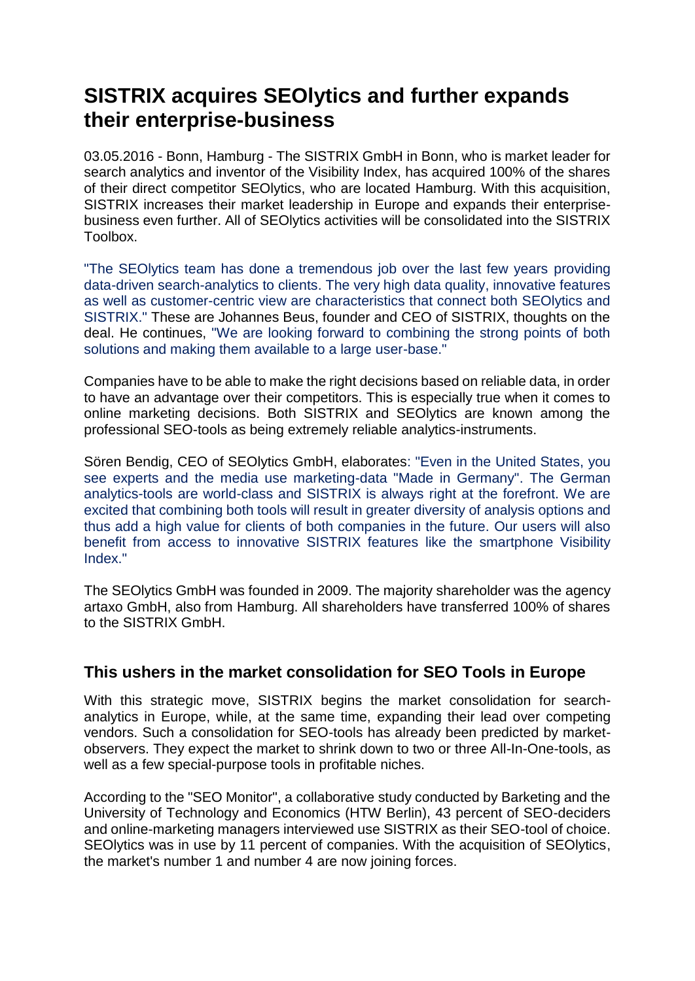## **SISTRIX acquires SEOlytics and further expands their enterprise-business**

03.05.2016 - Bonn, Hamburg - The SISTRIX GmbH in Bonn, who is market leader for search analytics and inventor of the Visibility Index, has acquired 100% of the shares of their direct competitor SEOlytics, who are located Hamburg. With this acquisition, SISTRIX increases their market leadership in Europe and expands their enterprisebusiness even further. All of SEOlytics activities will be consolidated into the SISTRIX Toolbox.

"The SEOlytics team has done a tremendous job over the last few years providing data-driven search-analytics to clients. The very high data quality, innovative features as well as customer-centric view are characteristics that connect both SEOlytics and SISTRIX." These are Johannes Beus, founder and CEO of SISTRIX, thoughts on the deal. He continues, "We are looking forward to combining the strong points of both solutions and making them available to a large user-base."

Companies have to be able to make the right decisions based on reliable data, in order to have an advantage over their competitors. This is especially true when it comes to online marketing decisions. Both SISTRIX and SEOlytics are known among the professional SEO-tools as being extremely reliable analytics-instruments.

Sören Bendig, CEO of SEOlytics GmbH, elaborates: "Even in the United States, you see experts and the media use marketing-data "Made in Germany". The German analytics-tools are world-class and SISTRIX is always right at the forefront. We are excited that combining both tools will result in greater diversity of analysis options and thus add a high value for clients of both companies in the future. Our users will also benefit from access to innovative SISTRIX features like the smartphone Visibility Index."

The SEOlytics GmbH was founded in 2009. The majority shareholder was the agency artaxo GmbH, also from Hamburg. All shareholders have transferred 100% of shares to the SISTRIX GmbH.

## **This ushers in the market consolidation for SEO Tools in Europe**

With this strategic move, SISTRIX begins the market consolidation for searchanalytics in Europe, while, at the same time, expanding their lead over competing vendors. Such a consolidation for SEO-tools has already been predicted by marketobservers. They expect the market to shrink down to two or three All-In-One-tools, as well as a few special-purpose tools in profitable niches.

According to the "SEO Monitor", a collaborative study conducted by Barketing and the University of Technology and Economics (HTW Berlin), 43 percent of SEO-deciders and online-marketing managers interviewed use SISTRIX as their SEO-tool of choice. SEOlytics was in use by 11 percent of companies. With the acquisition of SEOlytics, the market's number 1 and number 4 are now joining forces.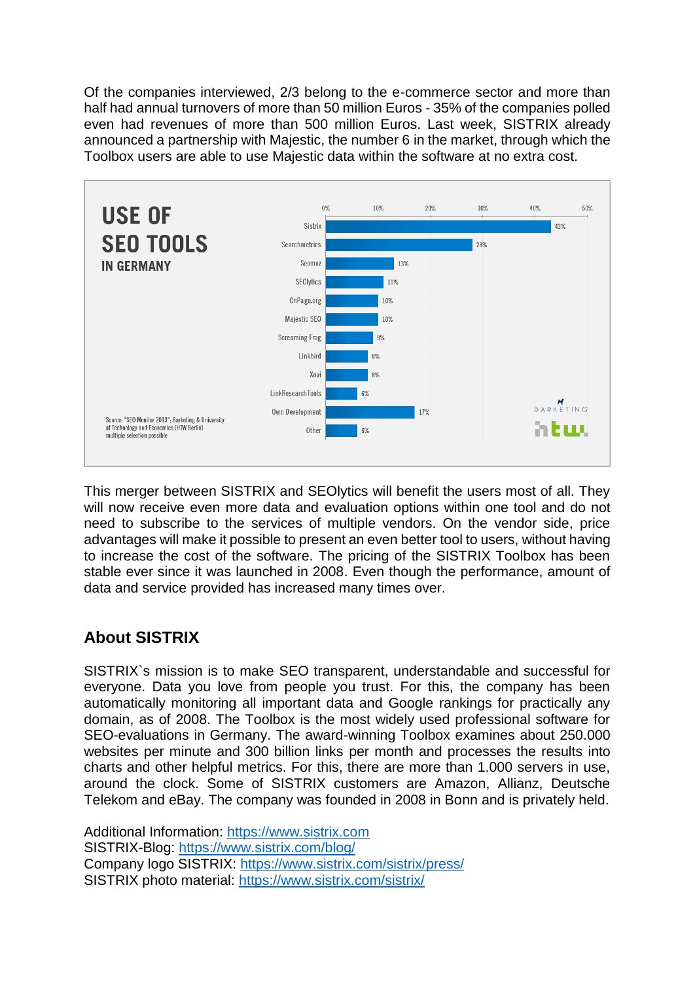Of the companies interviewed, 2/3 belong to the e-commerce sector and more than half had annual turnovers of more than 50 million Euros - 35% of the companies polled even had revenues of more than 500 million Euros. Last week, SISTRIX already announced a partnership with Majestic, the number 6 in the market, through which the Toolbox users are able to use Majestic data within the software at no extra cost.



This merger between SISTRIX and SEOlytics will benefit the users most of all. They will now receive even more data and evaluation options within one tool and do not need to subscribe to the services of multiple vendors. On the vendor side, price advantages will make it possible to present an even better tool to users, without having to increase the cost of the software. The pricing of the SISTRIX Toolbox has been stable ever since it was launched in 2008. Even though the performance, amount of data and service provided has increased many times over.

## **About SISTRIX**

SISTRIX`s mission is to make SEO transparent, understandable and successful for everyone. Data you love from people you trust. For this, the company has been automatically monitoring all important data and Google rankings for practically any domain, as of 2008. The Toolbox is the most widely used professional software for SEO-evaluations in Germany. The award-winning Toolbox examines about 250.000 websites per minute and 300 billion links per month and processes the results into charts and other helpful metrics. For this, there are more than 1.000 servers in use, around the clock. Some of SISTRIX customers are Amazon, Allianz, Deutsche Telekom and eBay. The company was founded in 2008 in Bonn and is privately held.

Additional Information: [https://www.sistrix.com](https://www.sistrix.com/) SISTRIX-Blog:<https://www.sistrix.com/blog/> Company logo SISTRIX:<https://www.sistrix.com/sistrix/press/> SISTRIX photo material:<https://www.sistrix.com/sistrix/>